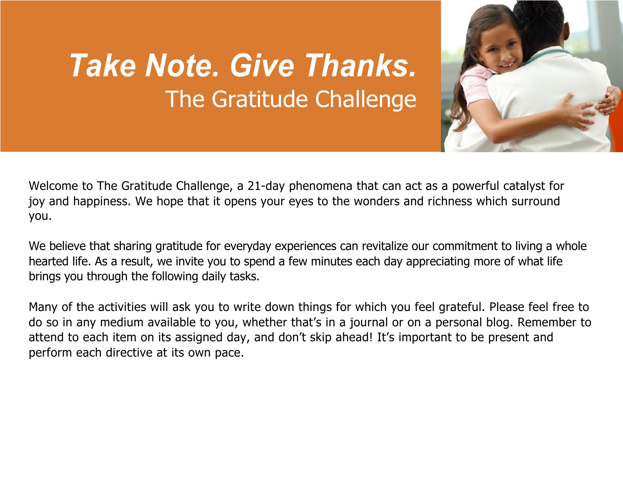## *Take Note. Give Thanks.* The Gratitude Challenge



Welcome to The Gratitude Challenge, a 21-day phenomena that can act as a powerful catalyst for joy and happiness. We hope that it opens your eyes to the wonders and richness which surround you.

We believe that sharing gratitude for everyday experiences can revitalize our commitment to living a whole hearted life. As a result, we invite you to spend a few minutes each day appreciating more of what life brings you through the following daily tasks.

Many of the activities will ask you to write down things for which you feel grateful. Please feel free to do so in any medium available to you, whether that's in a journal or on a personal blog. Remember to attend to each item on its assigned day, and don't skip ahead! It's important to be present and perform each directive at its own pace.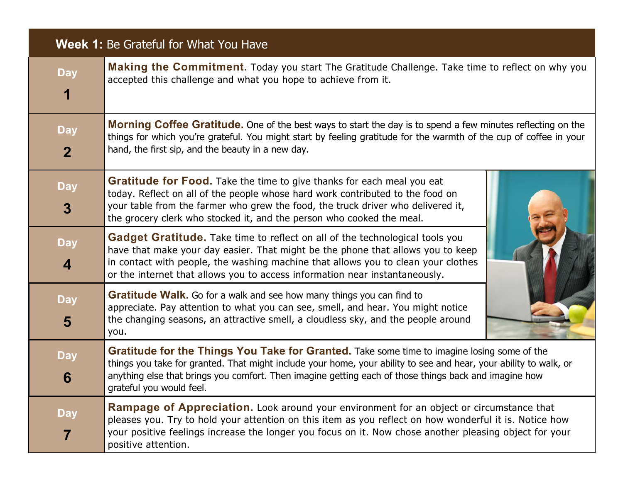## **Week 1:** Be Grateful for What You Have

| <b>Day</b><br>1                       | Making the Commitment. Today you start The Gratitude Challenge. Take time to reflect on why you<br>accepted this challenge and what you hope to achieve from it.                                                                                                                                                                                      |  |
|---------------------------------------|-------------------------------------------------------------------------------------------------------------------------------------------------------------------------------------------------------------------------------------------------------------------------------------------------------------------------------------------------------|--|
| <b>Day</b><br>$\mathbf{2}$            | <b>Morning Coffee Gratitude.</b> One of the best ways to start the day is to spend a few minutes reflecting on the<br>things for which you're grateful. You might start by feeling gratitude for the warmth of the cup of coffee in your<br>hand, the first sip, and the beauty in a new day.                                                         |  |
| <b>Day</b><br>$\boldsymbol{3}$        | <b>Gratitude for Food.</b> Take the time to give thanks for each meal you eat<br>today. Reflect on all of the people whose hard work contributed to the food on<br>your table from the farmer who grew the food, the truck driver who delivered it,<br>the grocery clerk who stocked it, and the person who cooked the meal.                          |  |
| <b>Day</b><br>$\overline{\mathbf{4}}$ | Gadget Gratitude. Take time to reflect on all of the technological tools you<br>have that make your day easier. That might be the phone that allows you to keep<br>in contact with people, the washing machine that allows you to clean your clothes<br>or the internet that allows you to access information near instantaneously.                   |  |
| <b>Day</b><br>5                       | Gratitude Walk. Go for a walk and see how many things you can find to<br>appreciate. Pay attention to what you can see, smell, and hear. You might notice<br>the changing seasons, an attractive smell, a cloudless sky, and the people around<br>you.                                                                                                |  |
| <b>Day</b><br>6                       | Gratitude for the Things You Take for Granted. Take some time to imagine losing some of the<br>things you take for granted. That might include your home, your ability to see and hear, your ability to walk, or<br>anything else that brings you comfort. Then imagine getting each of those things back and imagine how<br>grateful you would feel. |  |
| <b>Day</b><br>$\overline{7}$          | Rampage of Appreciation. Look around your environment for an object or circumstance that<br>pleases you. Try to hold your attention on this item as you reflect on how wonderful it is. Notice how<br>your positive feelings increase the longer you focus on it. Now chose another pleasing object for your<br>positive attention.                   |  |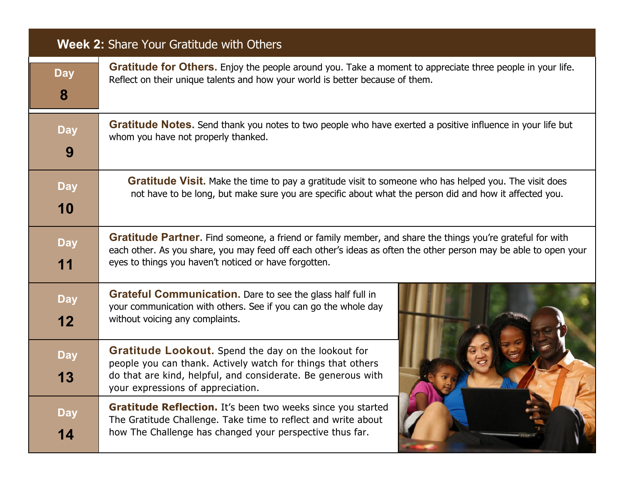| <b>Week 2: Share Your Gratitude with Others</b> |                                                                                                                                                                                                                                                                                               |  |
|-------------------------------------------------|-----------------------------------------------------------------------------------------------------------------------------------------------------------------------------------------------------------------------------------------------------------------------------------------------|--|
| <b>Day</b><br>8                                 | Gratitude for Others. Enjoy the people around you. Take a moment to appreciate three people in your life.<br>Reflect on their unique talents and how your world is better because of them.                                                                                                    |  |
| <b>Day</b><br>9                                 | Gratitude Notes. Send thank you notes to two people who have exerted a positive influence in your life but<br>whom you have not properly thanked.                                                                                                                                             |  |
| <b>Day</b><br>10                                | <b>Gratitude Visit.</b> Make the time to pay a gratitude visit to someone who has helped you. The visit does<br>not have to be long, but make sure you are specific about what the person did and how it affected you.                                                                        |  |
| <b>Day</b><br>11                                | <b>Gratitude Partner.</b> Find someone, a friend or family member, and share the things you're grateful for with<br>each other. As you share, you may feed off each other's ideas as often the other person may be able to open your<br>eyes to things you haven't noticed or have forgotten. |  |
| <b>Day</b><br>12                                | <b>Grateful Communication.</b> Dare to see the glass half full in<br>your communication with others. See if you can go the whole day<br>without voicing any complaints.                                                                                                                       |  |
| <b>Day</b><br>13                                | Gratitude Lookout. Spend the day on the lookout for<br>people you can thank. Actively watch for things that others<br>do that are kind, helpful, and considerate. Be generous with<br>your expressions of appreciation.                                                                       |  |
| <b>Day</b><br>14                                | Gratitude Reflection. It's been two weeks since you started<br>The Gratitude Challenge. Take time to reflect and write about<br>how The Challenge has changed your perspective thus far.                                                                                                      |  |